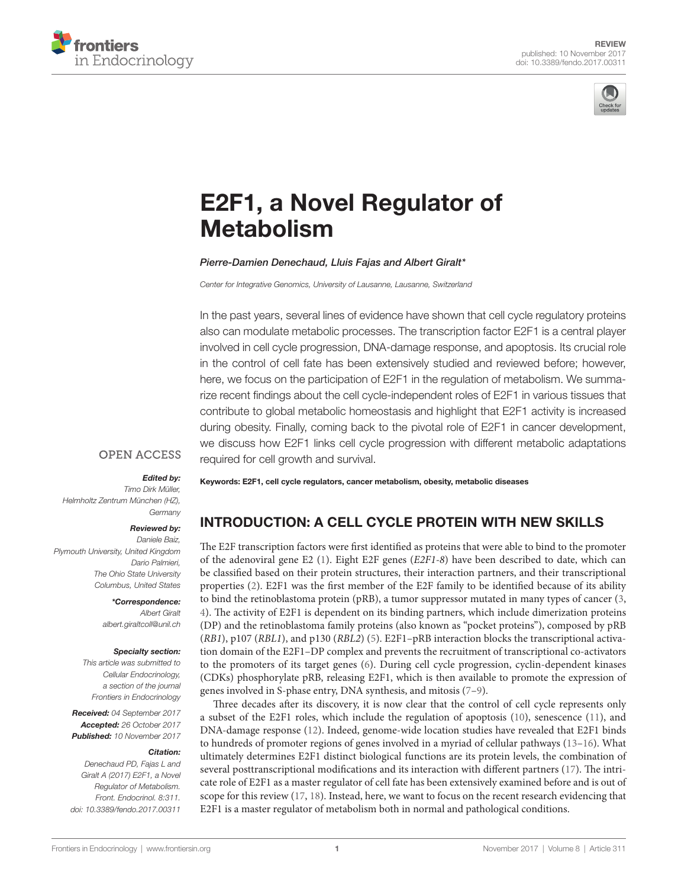



# E2F1, a Novel Regulator of **Metabolism**

*[Pierre-Damien Denechaud,](http://loop.frontiersin.org/people/482440) [Lluis Fajas](http://loop.frontiersin.org/people/63809) and [Albert Giralt](http://loop.frontiersin.org/people/242778)\**

*Center for Integrative Genomics, University of Lausanne, Lausanne, Switzerland*

In the past years, several lines of evidence have shown that cell cycle regulatory proteins also can modulate metabolic processes. The transcription factor E2F1 is a central player involved in cell cycle progression, DNA-damage response, and apoptosis. Its crucial role in the control of cell fate has been extensively studied and reviewed before; however, here, we focus on the participation of E2F1 in the regulation of metabolism. We summarize recent findings about the cell cycle-independent roles of E2F1 in various tissues that contribute to global metabolic homeostasis and highlight that E2F1 activity is increased during obesity. Finally, coming back to the pivotal role of E2F1 in cancer development, we discuss how E2F1 links cell cycle progression with different metabolic adaptations required for cell growth and survival.

# **OPEN ACCESS**

#### *Edited by:*

*Timo Dirk Müller, Helmholtz Zentrum München (HZ), Germany*

#### *Reviewed by:*

*Daniele Baiz, Plymouth University, United Kingdom Dario Palmieri, The Ohio State University Columbus, United States*

> *\*Correspondence: Albert Giralt [albert.giraltcoll@unil.ch](mailto:albert.giraltcoll@unil.ch)*

#### *Specialty section:*

*This article was submitted to Cellular Endocrinology, a section of the journal Frontiers in Endocrinology*

*Received: 04 September 2017 Accepted: 26 October 2017 Published: 10 November 2017*

#### *Citation:*

*Denechaud PD, Fajas L and Giralt A (2017) E2F1, a Novel Regulator of Metabolism. Front. Endocrinol. 8:311. doi: [10.3389/fendo.2017.00311](https://doi.org/10.3389/fendo.2017.00311)* Keywords: E2F1, cell cycle regulators, cancer metabolism, obesity, metabolic diseases

# INTRODUCTION: A CELL CYCLE PROTEIN WITH NEW SKILLS

The E2F transcription factors were first identified as proteins that were able to bind to the promoter of the adenoviral gene E2 ([1](#page-5-0)). Eight E2F genes (*E2F1-8*) have been described to date, which can be classified based on their protein structures, their interaction partners, and their transcriptional properties ([2](#page-5-1)). E2F1 was the first member of the E2F family to be identified because of its ability to bind the retinoblastoma protein (pRB), a tumor suppressor mutated in many types of cancer [\(3,](#page-5-2) [4](#page-5-3)). The activity of E2F1 is dependent on its binding partners, which include dimerization proteins (DP) and the retinoblastoma family proteins (also known as "pocket proteins"), composed by pRB (*RB1*), p107 (*RBL1*), and p130 (*RBL2*) ([5](#page-5-4)). E2F1–pRB interaction blocks the transcriptional activation domain of the E2F1–DP complex and prevents the recruitment of transcriptional co-activators to the promoters of its target genes [\(6\)](#page-5-5). During cell cycle progression, cyclin-dependent kinases (CDKs) phosphorylate pRB, releasing E2F1, which is then available to promote the expression of genes involved in S-phase entry, DNA synthesis, and mitosis [\(7–](#page-5-6)[9](#page-5-7)).

Three decades after its discovery, it is now clear that the control of cell cycle represents only a subset of the E2F1 roles, which include the regulation of apoptosis ([10\)](#page-5-8), senescence ([11\)](#page-5-9), and DNA-damage response [\(12](#page-5-10)). Indeed, genome-wide location studies have revealed that E2F1 binds to hundreds of promoter regions of genes involved in a myriad of cellular pathways ([13–](#page-5-11)[16](#page-5-12)). What ultimately determines E2F1 distinct biological functions are its protein levels, the combination of several posttranscriptional modifications and its interaction with different partners [\(17\)](#page-5-13). The intricate role of E2F1 as a master regulator of cell fate has been extensively examined before and is out of scope for this review ([17,](#page-5-13) [18](#page-5-14)). Instead, here, we want to focus on the recent research evidencing that E2F1 is a master regulator of metabolism both in normal and pathological conditions.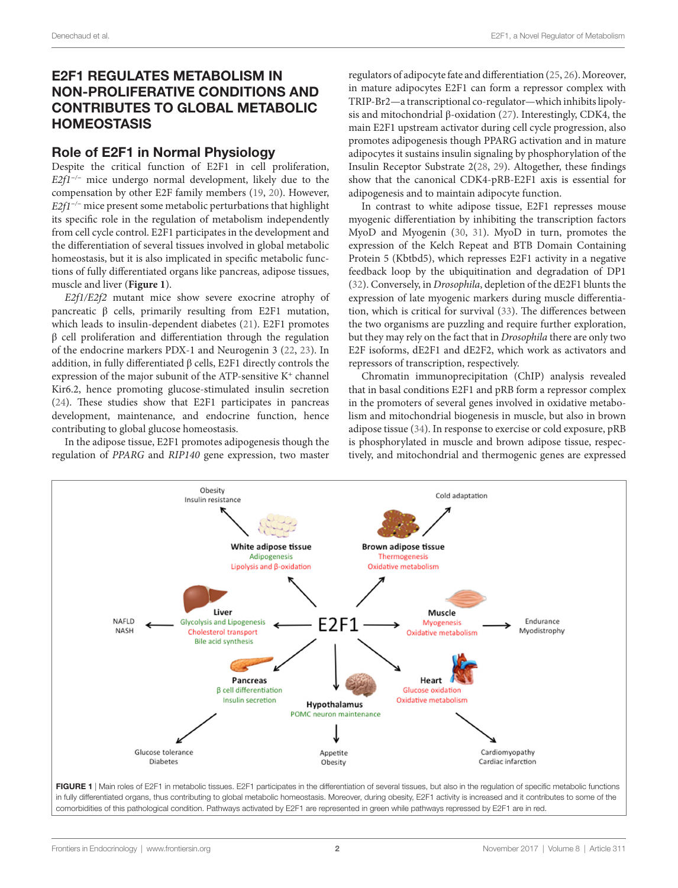# E2F1 REGULATES METABOLISM IN NON-PROLIFERATIVE CONDITIONS AND CONTRIBUTES TO GLOBAL METABOLIC **HOMEOSTASIS**

#### Role of E2F1 in Normal Physiology

Despite the critical function of E2F1 in cell proliferation, *E2f1<sup>−</sup>/<sup>−</sup>* mice undergo normal development, likely due to the compensation by other E2F family members [\(19](#page-5-15), [20](#page-5-16)). However, *E2f1<sup>-/−</sup>* mice present some metabolic perturbations that highlight its specific role in the regulation of metabolism independently from cell cycle control. E2F1 participates in the development and the differentiation of several tissues involved in global metabolic homeostasis, but it is also implicated in specific metabolic functions of fully differentiated organs like pancreas, adipose tissues, muscle and liver (**[Figure 1](#page-1-0)**).

*E2f1/E2f2* mutant mice show severe exocrine atrophy of pancreatic β cells, primarily resulting from E2F1 mutation, which leads to insulin-dependent diabetes ([21\)](#page-5-17). E2F1 promotes β cell proliferation and differentiation through the regulation of the endocrine markers PDX-1 and Neurogenin 3 ([22,](#page-5-18) [23\)](#page-5-19). In addition, in fully differentiated β cells, E2F1 directly controls the expression of the major subunit of the ATP-sensitive K<sup>+</sup> channel Kir6.2, hence promoting glucose-stimulated insulin secretion ([24\)](#page-5-20). These studies show that E2F1 participates in pancreas development, maintenance, and endocrine function, hence contributing to global glucose homeostasis.

In the adipose tissue, E2F1 promotes adipogenesis though the regulation of *PPARG* and *RIP140* gene expression, two master

regulators of adipocyte fate and differentiation ([25,](#page-6-0) [26](#page-6-1)). Moreover, in mature adipocytes E2F1 can form a repressor complex with TRIP-Br2—a transcriptional co-regulator—which inhibits lipolysis and mitochondrial β-oxidation [\(27](#page-6-2)). Interestingly, CDK4, the main E2F1 upstream activator during cell cycle progression, also promotes adipogenesis though PPARG activation and in mature adipocytes it sustains insulin signaling by phosphorylation of the Insulin Receptor Substrate 2[\(28](#page-6-3), [29\)](#page-6-4). Altogether, these findings show that the canonical CDK4-pRB-E2F1 axis is essential for adipogenesis and to maintain adipocyte function.

In contrast to white adipose tissue, E2F1 represses mouse myogenic differentiation by inhibiting the transcription factors MyoD and Myogenin ([30,](#page-6-5) [31](#page-6-6)). MyoD in turn, promotes the expression of the Kelch Repeat and BTB Domain Containing Protein 5 (Kbtbd5), which represses E2F1 activity in a negative feedback loop by the ubiquitination and degradation of DP1 [\(32\)](#page-6-7). Conversely, in *Drosophila*, depletion of the dE2F1 blunts the expression of late myogenic markers during muscle differentiation, which is critical for survival [\(33](#page-6-8)). The differences between the two organisms are puzzling and require further exploration, but they may rely on the fact that in *Drosophila* there are only two E2F isoforms, dE2F1 and dE2F2, which work as activators and repressors of transcription, respectively.

Chromatin immunoprecipitation (ChIP) analysis revealed that in basal conditions E2F1 and pRB form a repressor complex in the promoters of several genes involved in oxidative metabolism and mitochondrial biogenesis in muscle, but also in brown adipose tissue ([34\)](#page-6-9). In response to exercise or cold exposure, pRB is phosphorylated in muscle and brown adipose tissue, respectively, and mitochondrial and thermogenic genes are expressed



<span id="page-1-0"></span>in fully differentiated organs, thus contributing to global metabolic homeostasis. Moreover, during obesity, E2F1 activity is increased and it contributes to some of the comorbidities of this pathological condition. Pathways activated by E2F1 are represented in green while pathways repressed by E2F1 are in red.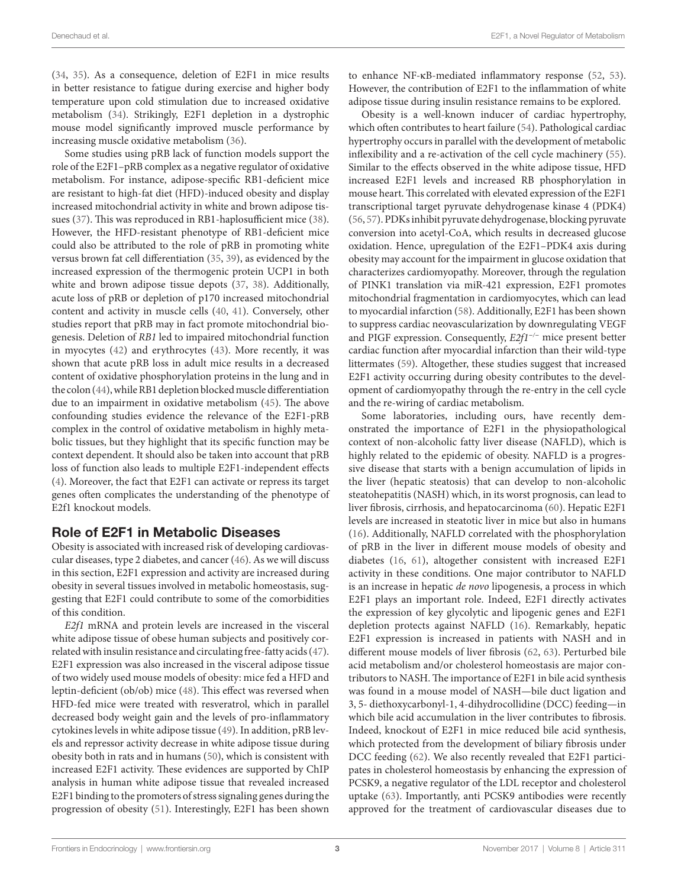([34,](#page-6-9) [35](#page-6-10)). As a consequence, deletion of E2F1 in mice results in better resistance to fatigue during exercise and higher body temperature upon cold stimulation due to increased oxidative metabolism [\(34](#page-6-9)). Strikingly, E2F1 depletion in a dystrophic mouse model significantly improved muscle performance by increasing muscle oxidative metabolism [\(36](#page-6-11)).

Some studies using pRB lack of function models support the role of the E2F1–pRB complex as a negative regulator of oxidative metabolism. For instance, adipose-specific RB1-deficient mice are resistant to high-fat diet (HFD)-induced obesity and display increased mitochondrial activity in white and brown adipose tissues ([37\)](#page-6-12). This was reproduced in RB1-haplosufficient mice ([38\)](#page-6-13). However, the HFD-resistant phenotype of RB1-deficient mice could also be attributed to the role of pRB in promoting white versus brown fat cell differentiation ([35](#page-6-10), [39\)](#page-6-14), as evidenced by the increased expression of the thermogenic protein UCP1 in both white and brown adipose tissue depots ([37,](#page-6-12) [38\)](#page-6-13). Additionally, acute loss of pRB or depletion of p170 increased mitochondrial content and activity in muscle cells [\(40,](#page-6-15) [41](#page-6-16)). Conversely, other studies report that pRB may in fact promote mitochondrial biogenesis. Deletion of *RB1* led to impaired mitochondrial function in myocytes ([42\)](#page-6-17) and erythrocytes [\(43](#page-6-18)). More recently, it was shown that acute pRB loss in adult mice results in a decreased content of oxidative phosphorylation proteins in the lung and in the colon [\(44](#page-6-19)), while RB1 depletion blocked muscle differentiation due to an impairment in oxidative metabolism [\(45\)](#page-6-20). The above confounding studies evidence the relevance of the E2F1-pRB complex in the control of oxidative metabolism in highly metabolic tissues, but they highlight that its specific function may be context dependent. It should also be taken into account that pRB loss of function also leads to multiple E2F1-independent effects ([4](#page-5-3)). Moreover, the fact that E2F1 can activate or repress its target genes often complicates the understanding of the phenotype of E2f1 knockout models.

#### Role of E2F1 in Metabolic Diseases

Obesity is associated with increased risk of developing cardiovascular diseases, type 2 diabetes, and cancer [\(46](#page-6-21)). As we will discuss in this section, E2F1 expression and activity are increased during obesity in several tissues involved in metabolic homeostasis, suggesting that E2F1 could contribute to some of the comorbidities of this condition.

*E2f1* mRNA and protein levels are increased in the visceral white adipose tissue of obese human subjects and positively correlated with insulin resistance and circulating free-fatty acids ([47\)](#page-6-22). E2F1 expression was also increased in the visceral adipose tissue of two widely used mouse models of obesity: mice fed a HFD and leptin-deficient (ob/ob) mice [\(48\)](#page-6-23). This effect was reversed when HFD-fed mice were treated with resveratrol, which in parallel decreased body weight gain and the levels of pro-inflammatory cytokines levels in white adipose tissue ([49\)](#page-6-24). In addition, pRB levels and repressor activity decrease in white adipose tissue during obesity both in rats and in humans ([50](#page-6-25)), which is consistent with increased E2F1 activity. These evidences are supported by ChIP analysis in human white adipose tissue that revealed increased E2F1 binding to the promoters of stress signaling genes during the progression of obesity [\(51](#page-6-26)). Interestingly, E2F1 has been shown to enhance NF-κB-mediated inflammatory response ([52,](#page-6-27) [53](#page-6-28)). However, the contribution of E2F1 to the inflammation of white adipose tissue during insulin resistance remains to be explored.

Obesity is a well-known inducer of cardiac hypertrophy, which often contributes to heart failure ([54\)](#page-6-29). Pathological cardiac hypertrophy occurs in parallel with the development of metabolic inflexibility and a re-activation of the cell cycle machinery [\(55](#page-6-30)). Similar to the effects observed in the white adipose tissue, HFD increased E2F1 levels and increased RB phosphorylation in mouse heart. This correlated with elevated expression of the E2F1 transcriptional target pyruvate dehydrogenase kinase 4 (PDK4) [\(56,](#page-6-31) [57](#page-6-32)). PDKs inhibit pyruvate dehydrogenase, blocking pyruvate conversion into acetyl-CoA, which results in decreased glucose oxidation. Hence, upregulation of the E2F1–PDK4 axis during obesity may account for the impairment in glucose oxidation that characterizes cardiomyopathy. Moreover, through the regulation of PINK1 translation via miR-421 expression, E2F1 promotes mitochondrial fragmentation in cardiomyocytes, which can lead to myocardial infarction [\(58](#page-6-33)). Additionally, E2F1 has been shown to suppress cardiac neovascularization by downregulating VEGF and PIGF expression. Consequently, *E2f1<sup>−</sup>/<sup>−</sup>* mice present better cardiac function after myocardial infarction than their wild-type littermates [\(59](#page-6-34)). Altogether, these studies suggest that increased E2F1 activity occurring during obesity contributes to the development of cardiomyopathy through the re-entry in the cell cycle and the re-wiring of cardiac metabolism.

Some laboratories, including ours, have recently demonstrated the importance of E2F1 in the physiopathological context of non-alcoholic fatty liver disease (NAFLD), which is highly related to the epidemic of obesity. NAFLD is a progressive disease that starts with a benign accumulation of lipids in the liver (hepatic steatosis) that can develop to non-alcoholic steatohepatitis (NASH) which, in its worst prognosis, can lead to liver fibrosis, cirrhosis, and hepatocarcinoma ([60](#page-6-35)). Hepatic E2F1 levels are increased in steatotic liver in mice but also in humans [\(16\)](#page-5-12). Additionally, NAFLD correlated with the phosphorylation of pRB in the liver in different mouse models of obesity and diabetes [\(16,](#page-5-12) [61\)](#page-6-36), altogether consistent with increased E2F1 activity in these conditions. One major contributor to NAFLD is an increase in hepatic *de novo* lipogenesis, a process in which E2F1 plays an important role. Indeed, E2F1 directly activates the expression of key glycolytic and lipogenic genes and E2F1 depletion protects against NAFLD [\(16](#page-5-12)). Remarkably, hepatic E2F1 expression is increased in patients with NASH and in different mouse models of liver fibrosis [\(62,](#page-6-37) [63\)](#page-6-38). Perturbed bile acid metabolism and/or cholesterol homeostasis are major contributors to NASH. The importance of E2F1 in bile acid synthesis was found in a mouse model of NASH—bile duct ligation and 3, 5- diethoxycarbonyl-1, 4-dihydrocollidine (DCC) feeding—in which bile acid accumulation in the liver contributes to fibrosis. Indeed, knockout of E2F1 in mice reduced bile acid synthesis, which protected from the development of biliary fibrosis under DCC feeding [\(62](#page-6-37)). We also recently revealed that E2F1 participates in cholesterol homeostasis by enhancing the expression of PCSK9, a negative regulator of the LDL receptor and cholesterol uptake [\(63\)](#page-6-38). Importantly, anti PCSK9 antibodies were recently approved for the treatment of cardiovascular diseases due to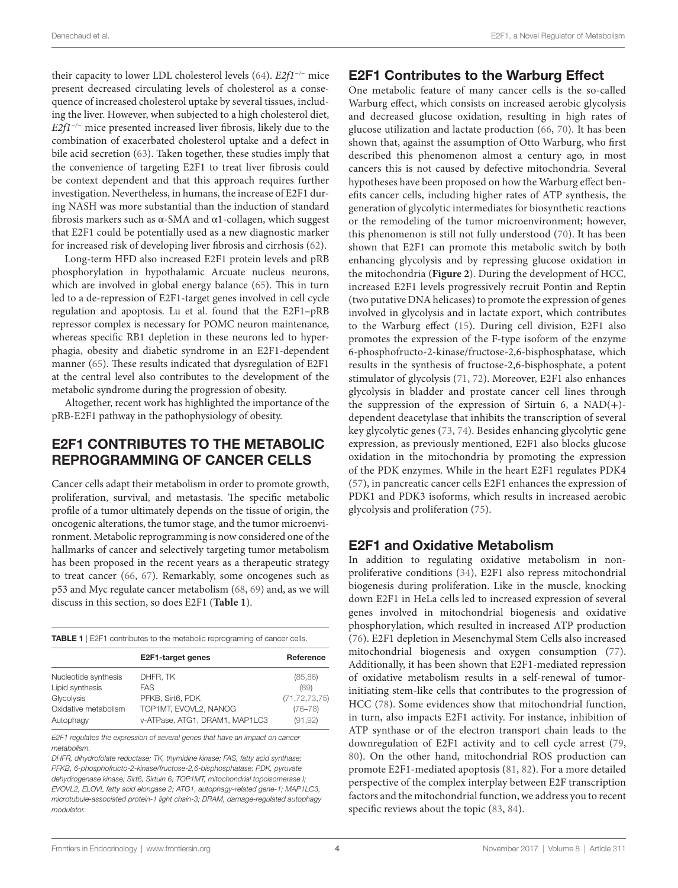their capacity to lower LDL cholesterol levels [\(64\)](#page-6-39). *E2f1<sup>−</sup>/<sup>−</sup>* mice present decreased circulating levels of cholesterol as a consequence of increased cholesterol uptake by several tissues, including the liver. However, when subjected to a high cholesterol diet, *E2f1<sup>−</sup>/<sup>−</sup>* mice presented increased liver fibrosis, likely due to the combination of exacerbated cholesterol uptake and a defect in bile acid secretion [\(63](#page-6-38)). Taken together, these studies imply that the convenience of targeting E2F1 to treat liver fibrosis could be context dependent and that this approach requires further investigation. Nevertheless, in humans, the increase of E2F1 during NASH was more substantial than the induction of standard fibrosis markers such as  $\alpha$ -SMA and  $\alpha$ 1-collagen, which suggest that E2F1 could be potentially used as a new diagnostic marker for increased risk of developing liver fibrosis and cirrhosis [\(62\)](#page-6-37).

Long-term HFD also increased E2F1 protein levels and pRB phosphorylation in hypothalamic Arcuate nucleus neurons, which are involved in global energy balance [\(65](#page-7-11)). This in turn led to a de-repression of E2F1-target genes involved in cell cycle regulation and apoptosis. Lu et al. found that the E2F1–pRB repressor complex is necessary for POMC neuron maintenance, whereas specific RB1 depletion in these neurons led to hyperphagia, obesity and diabetic syndrome in an E2F1-dependent manner [\(65](#page-7-11)). These results indicated that dysregulation of E2F1 at the central level also contributes to the development of the metabolic syndrome during the progression of obesity.

Altogether, recent work has highlighted the importance of the pRB-E2F1 pathway in the pathophysiology of obesity.

# E2F1 CONTRIBUTES TO THE METABOLIC REPROGRAMMING OF CANCER CELLS

Cancer cells adapt their metabolism in order to promote growth, proliferation, survival, and metastasis. The specific metabolic profile of a tumor ultimately depends on the tissue of origin, the oncogenic alterations, the tumor stage, and the tumor microenvironment. Metabolic reprogramming is now considered one of the hallmarks of cancer and selectively targeting tumor metabolism has been proposed in the recent years as a therapeutic strategy to treat cancer [\(66,](#page-7-12) [67](#page-7-13)). Remarkably, some oncogenes such as p53 and Myc regulate cancer metabolism [\(68](#page-7-14), [69\)](#page-7-15) and, as we will discuss in this section, so does E2F1 (**[Table 1](#page-3-0)**).

<span id="page-3-0"></span>TABLE 1 | E2F1 contributes to the metabolic reprograming of cancer cells.

|                      | E2F1-target genes              | Reference        |
|----------------------|--------------------------------|------------------|
| Nucleotide synthesis | DHFR, TK                       | (85, 86)         |
| Lipid synthesis      | FAS                            | (89)             |
| Glycolysis           | PFKB. Sirt6. PDK               | (71, 72, 73, 75) |
| Oxidative metabolism | TOP1MT, EVOVL2, NANOG          | $(76 - 78)$      |
| Autophagy            | v-ATPase, ATG1, DRAM1, MAP1LC3 | (91, 92)         |

*E2F1 regulates the expression of several genes that have an impact on cancer metabolism.*

*DHFR, dihydrofolate reductase; TK, thymidine kinase; FAS, fatty acid synthase; PFKB, 6-phosphofructo-2-kinase/fructose-2,6-bisphosphatase; PDK, pyruvate dehydrogenase kinase; Sirt6, Sirtuin 6; TOP1MT, mitochondrial topoisomerase I; EVOVL2, ELOVL fatty acid elongase 2; ATG1, autophagy-related gene-1; MAP1LC3, microtubule-associated protein-1 light chain-3; DRAM, damage-regulated autophagy modulator.*

#### E2F1 Contributes to the Warburg Effect

One metabolic feature of many cancer cells is the so-called Warburg effect, which consists on increased aerobic glycolysis and decreased glucose oxidation, resulting in high rates of glucose utilization and lactate production [\(66](#page-7-12), [70\)](#page-7-16). It has been shown that, against the assumption of Otto Warburg, who first described this phenomenon almost a century ago, in most cancers this is not caused by defective mitochondria. Several hypotheses have been proposed on how the Warburg effect benefits cancer cells, including higher rates of ATP synthesis, the generation of glycolytic intermediates for biosynthetic reactions or the remodeling of the tumor microenvironment; however, this phenomenon is still not fully understood ([70](#page-7-16)). It has been shown that E2F1 can promote this metabolic switch by both enhancing glycolysis and by repressing glucose oxidation in the mitochondria (**[Figure 2](#page-4-0)**). During the development of HCC, increased E2F1 levels progressively recruit Pontin and Reptin (two putative DNA helicases) to promote the expression of genes involved in glycolysis and in lactate export, which contributes to the Warburg effect ([15\)](#page-5-21). During cell division, E2F1 also promotes the expression of the F-type isoform of the enzyme 6-phosphofructo-2-kinase/fructose-2,6-bisphosphatase, which results in the synthesis of fructose-2,6-bisphosphate, a potent stimulator of glycolysis [\(71,](#page-7-3) [72\)](#page-7-4). Moreover, E2F1 also enhances glycolysis in bladder and prostate cancer cell lines through the suppression of the expression of Sirtuin 6, a  $NAD(+)$ dependent deacetylase that inhibits the transcription of several key glycolytic genes ([73](#page-7-5), [74](#page-7-17)). Besides enhancing glycolytic gene expression, as previously mentioned, E2F1 also blocks glucose oxidation in the mitochondria by promoting the expression of the PDK enzymes. While in the heart E2F1 regulates PDK4 ([57\)](#page-6-32), in pancreatic cancer cells E2F1 enhances the expression of PDK1 and PDK3 isoforms, which results in increased aerobic glycolysis and proliferation ([75](#page-7-6)).

## E2F1 and Oxidative Metabolism

In addition to regulating oxidative metabolism in nonproliferative conditions ([34](#page-6-9)), E2F1 also repress mitochondrial biogenesis during proliferation. Like in the muscle, knocking down E2F1 in HeLa cells led to increased expression of several genes involved in mitochondrial biogenesis and oxidative phosphorylation, which resulted in increased ATP production ([76\)](#page-7-7). E2F1 depletion in Mesenchymal Stem Cells also increased mitochondrial biogenesis and oxygen consumption [\(77](#page-7-18)). Additionally, it has been shown that E2F1-mediated repression of oxidative metabolism results in a self-renewal of tumorinitiating stem-like cells that contributes to the progression of HCC [\(78\)](#page-7-8). Some evidences show that mitochondrial function, in turn, also impacts E2F1 activity. For instance, inhibition of ATP synthase or of the electron transport chain leads to the downregulation of E2F1 activity and to cell cycle arrest [\(79,](#page-7-19) [80](#page-7-20)). On the other hand, mitochondrial ROS production can promote E2F1-mediated apoptosis [\(81,](#page-7-21) [82](#page-7-22)). For a more detailed perspective of the complex interplay between E2F transcription factors and the mitochondrial function, we address you to recent specific reviews about the topic [\(83](#page-7-23), [84](#page-7-24)).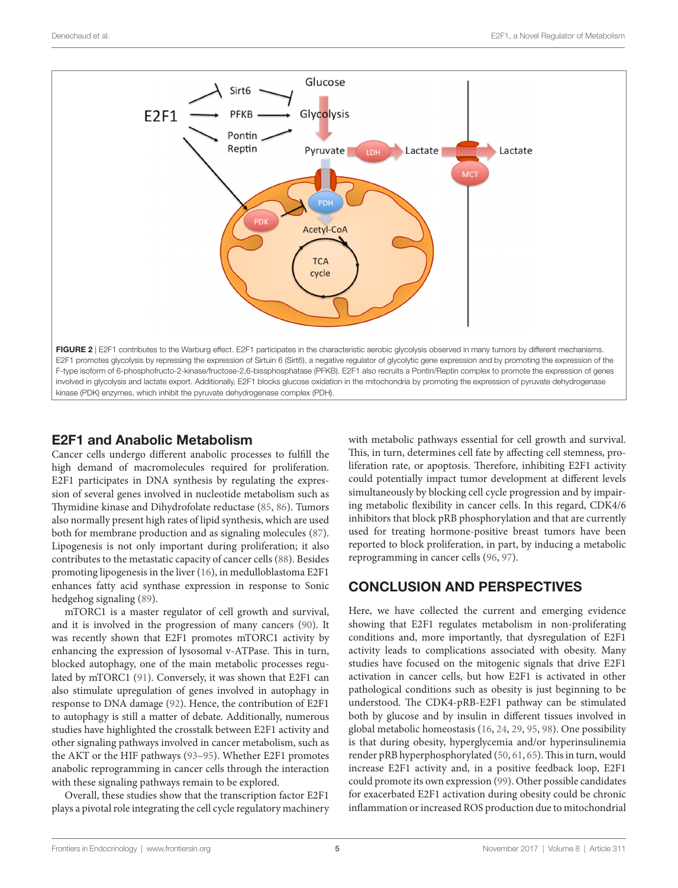

## E2F1 and Anabolic Metabolism

Cancer cells undergo different anabolic processes to fulfill the high demand of macromolecules required for proliferation. E2F1 participates in DNA synthesis by regulating the expression of several genes involved in nucleotide metabolism such as Thymidine kinase and Dihydrofolate reductase [\(85](#page-7-0), [86\)](#page-7-1). Tumors also normally present high rates of lipid synthesis, which are used both for membrane production and as signaling molecules ([87\)](#page-7-25). Lipogenesis is not only important during proliferation; it also contributes to the metastatic capacity of cancer cells [\(88](#page-7-26)). Besides promoting lipogenesis in the liver [\(16](#page-5-12)), in medulloblastoma E2F1 enhances fatty acid synthase expression in response to Sonic hedgehog signaling [\(89](#page-7-2)).

mTORC1 is a master regulator of cell growth and survival, and it is involved in the progression of many cancers [\(90](#page-7-27)). It was recently shown that E2F1 promotes mTORC1 activity by enhancing the expression of lysosomal v-ATPase. This in turn, blocked autophagy, one of the main metabolic processes regulated by mTORC1 [\(91\)](#page-7-9). Conversely, it was shown that E2F1 can also stimulate upregulation of genes involved in autophagy in response to DNA damage [\(92](#page-7-10)). Hence, the contribution of E2F1 to autophagy is still a matter of debate. Additionally, numerous studies have highlighted the crosstalk between E2F1 activity and other signaling pathways involved in cancer metabolism, such as the AKT or the HIF pathways [\(93–](#page-7-28)[95\)](#page-7-29). Whether E2F1 promotes anabolic reprogramming in cancer cells through the interaction with these signaling pathways remain to be explored.

Overall, these studies show that the transcription factor E2F1 plays a pivotal role integrating the cell cycle regulatory machinery <span id="page-4-0"></span>with metabolic pathways essential for cell growth and survival. This, in turn, determines cell fate by affecting cell stemness, proliferation rate, or apoptosis. Therefore, inhibiting E2F1 activity could potentially impact tumor development at different levels simultaneously by blocking cell cycle progression and by impairing metabolic flexibility in cancer cells. In this regard, CDK4/6 inhibitors that block pRB phosphorylation and that are currently used for treating hormone-positive breast tumors have been reported to block proliferation, in part, by inducing a metabolic reprogramming in cancer cells [\(96](#page-7-30), [97\)](#page-7-31).

# CONCLUSION AND PERSPECTIVES

Here, we have collected the current and emerging evidence showing that E2F1 regulates metabolism in non-proliferating conditions and, more importantly, that dysregulation of E2F1 activity leads to complications associated with obesity. Many studies have focused on the mitogenic signals that drive E2F1 activation in cancer cells, but how E2F1 is activated in other pathological conditions such as obesity is just beginning to be understood. The CDK4-pRB-E2F1 pathway can be stimulated both by glucose and by insulin in different tissues involved in global metabolic homeostasis ([16,](#page-5-12) [24](#page-5-20), [29,](#page-6-4) [95,](#page-7-29) [98](#page-7-32)). One possibility is that during obesity, hyperglycemia and/or hyperinsulinemia render pRB hyperphosphorylated [\(50](#page-6-25), [61](#page-6-36), [65\)](#page-7-11). This in turn, would increase E2F1 activity and, in a positive feedback loop, E2F1 could promote its own expression ([99\)](#page-7-33). Other possible candidates for exacerbated E2F1 activation during obesity could be chronic inflammation or increased ROS production due to mitochondrial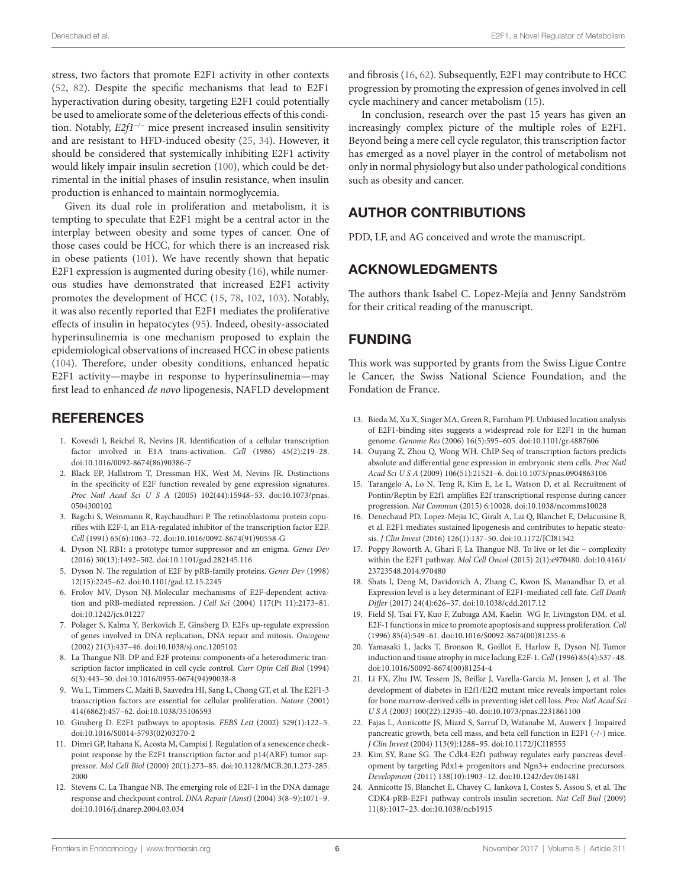stress, two factors that promote E2F1 activity in other contexts ([52,](#page-6-27) [82\)](#page-7-22). Despite the specific mechanisms that lead to E2F1 hyperactivation during obesity, targeting E2F1 could potentially be used to ameliorate some of the deleterious effects of this condition. Notably, *E2f1<sup>−</sup>*/*<sup>−</sup>* mice present increased insulin sensitivity and are resistant to HFD-induced obesity ([25](#page-6-0), [34](#page-6-9)). However, it should be considered that systemically inhibiting E2F1 activity would likely impair insulin secretion [\(100\)](#page-7-34), which could be detrimental in the initial phases of insulin resistance, when insulin production is enhanced to maintain normoglycemia.

Given its dual role in proliferation and metabolism, it is tempting to speculate that E2F1 might be a central actor in the interplay between obesity and some types of cancer. One of those cases could be HCC, for which there is an increased risk in obese patients [\(101](#page-7-35)). We have recently shown that hepatic E2F1 expression is augmented during obesity [\(16](#page-5-12)), while numerous studies have demonstrated that increased E2F1 activity promotes the development of HCC [\(15](#page-5-21), [78](#page-7-8), [102](#page-7-36), [103](#page-7-37)). Notably, it was also recently reported that E2F1 mediates the proliferative effects of insulin in hepatocytes ([95\)](#page-7-29). Indeed, obesity-associated hyperinsulinemia is one mechanism proposed to explain the epidemiological observations of increased HCC in obese patients ([104](#page-7-38)). Therefore, under obesity conditions, enhanced hepatic E2F1 activity—maybe in response to hyperinsulinemia—may first lead to enhanced *de novo* lipogenesis, NAFLD development

#### **REFERENCES**

- <span id="page-5-0"></span>1. Kovesdi I, Reichel R, Nevins JR. Identification of a cellular transcription factor involved in E1A trans-activation. *Cell* (1986) 45(2):219–28. doi:[10.1016/0092-8674\(86\)90386-7](https://doi.org/10.1016/0092-8674(86)90386-7)
- <span id="page-5-1"></span>2. Black EP, Hallstrom T, Dressman HK, West M, Nevins JR. Distinctions in the specificity of E2F function revealed by gene expression signatures. *Proc Natl Acad Sci U S A* (2005) 102(44):15948–53. doi:[10.1073/pnas.](https://doi.org/10.1073/pnas.0504300102) [0504300102](https://doi.org/10.1073/pnas.0504300102)
- <span id="page-5-2"></span>3. Bagchi S, Weinmann R, Raychaudhuri P. The retinoblastoma protein copurifies with E2F-I, an E1A-regulated inhibitor of the transcription factor E2F. *Cell* (1991) 65(6):1063–72. doi:[10.1016/0092-8674\(91\)90558-G](https://doi.org/10.1016/0092-8674(91)90558-G)
- <span id="page-5-3"></span>4. Dyson NJ. RB1: a prototype tumor suppressor and an enigma. *Genes Dev* (2016) 30(13):1492–502. doi[:10.1101/gad.282145.116](https://doi.org/10.1101/gad.282145.116)
- <span id="page-5-4"></span>5. Dyson N. The regulation of E2F by pRB-family proteins. *Genes Dev* (1998) 12(15):2245–62. doi[:10.1101/gad.12.15.2245](https://doi.org/10.1101/gad.12.15.2245)
- <span id="page-5-5"></span>6. Frolov MV, Dyson NJ. Molecular mechanisms of E2F-dependent activation and pRB-mediated repression. *J Cell Sci* (2004) 117(Pt 11):2173–81. doi:[10.1242/jcs.01227](https://doi.org/10.1242/jcs.01227)
- <span id="page-5-6"></span>7. Polager S, Kalma Y, Berkovich E, Ginsberg D. E2Fs up-regulate expression of genes involved in DNA replication, DNA repair and mitosis. *Oncogene* (2002) 21(3):437–46. doi[:10.1038/sj.onc.1205102](https://doi.org/10.1038/sj.onc.1205102)
- 8. La Thangue NB. DP and E2F proteins: components of a heterodimeric transcription factor implicated in cell cycle control. *Curr Opin Cell Biol* (1994) 6(3):443–50. doi[:10.1016/0955-0674\(94\)90038-8](https://doi.org/10.1016/0955-0674(94)90038-8)
- <span id="page-5-7"></span>9. Wu L, Timmers C, Maiti B, Saavedra HI, Sang L, Chong GT, et al. The E2F1-3 transcription factors are essential for cellular proliferation. *Nature* (2001) 414(6862):457–62. doi[:10.1038/35106593](https://doi.org/10.1038/35106593)
- <span id="page-5-8"></span>10. Ginsberg D. E2F1 pathways to apoptosis. *FEBS Lett* (2002) 529(1):122–5. doi:[10.1016/S0014-5793\(02\)03270-2](https://doi.org/10.1016/S0014-5793(02)03270-2)
- <span id="page-5-9"></span>11. Dimri GP, Itahana K, Acosta M, Campisi J. Regulation of a senescence checkpoint response by the E2F1 transcription factor and p14(ARF) tumor suppressor. *Mol Cell Biol* (2000) 20(1):273–85. doi:[10.1128/MCB.20.1.273-285.](https://doi.org/10.1128/MCB.20.1.273-285.2000) [2000](https://doi.org/10.1128/MCB.20.1.273-285.2000)
- <span id="page-5-10"></span>12. Stevens C, La Thangue NB. The emerging role of E2F-1 in the DNA damage response and checkpoint control. *DNA Repair (Amst)* (2004) 3(8–9):1071–9. doi:[10.1016/j.dnarep.2004.03.034](https://doi.org/10.1016/j.dnarep.2004.03.034)

and fibrosis [\(16](#page-5-12), [62\)](#page-6-37). Subsequently, E2F1 may contribute to HCC progression by promoting the expression of genes involved in cell cycle machinery and cancer metabolism ([15\)](#page-5-21).

In conclusion, research over the past 15 years has given an increasingly complex picture of the multiple roles of E2F1. Beyond being a mere cell cycle regulator, this transcription factor has emerged as a novel player in the control of metabolism not only in normal physiology but also under pathological conditions such as obesity and cancer.

# AUTHOR CONTRIBUTIONS

PDD, LF, and AG conceived and wrote the manuscript.

## ACKNOWLEDGMENTS

The authors thank Isabel C. Lopez-Mejía and Jenny Sandström for their critical reading of the manuscript.

# FUNDING

This work was supported by grants from the Swiss Ligue Contre le Cancer, the Swiss National Science Foundation, and the Fondation de France.

- <span id="page-5-11"></span>13. Bieda M, Xu X, Singer MA, Green R, Farnham PJ. Unbiased location analysis of E2F1-binding sites suggests a widespread role for E2F1 in the human genome. *Genome Res* (2006) 16(5):595–605. doi:[10.1101/gr.4887606](https://doi.org/10.1101/gr.
4887606)
- 14. Ouyang Z, Zhou Q, Wong WH. ChIP-Seq of transcription factors predicts absolute and differential gene expression in embryonic stem cells. *Proc Natl Acad Sci U S A* (2009) 106(51):21521–6. doi:[10.1073/pnas.0904863106](https://doi.org/10.1073/pnas.0904863106)
- <span id="page-5-21"></span>15. Tarangelo A, Lo N, Teng R, Kim E, Le L, Watson D, et al. Recruitment of Pontin/Reptin by E2f1 amplifies E2f transcriptional response during cancer progression. *Nat Commun* (2015) 6:10028. doi[:10.1038/ncomms10028](https://doi.org/10.1038/ncomms10028)
- <span id="page-5-12"></span>16. Denechaud PD, Lopez-Mejia IC, Giralt A, Lai Q, Blanchet E, Delacuisine B, et al. E2F1 mediates sustained lipogenesis and contributes to hepatic steatosis. *J Clin Invest* (2016) 126(1):137–50. doi:[10.1172/JCI81542](https://doi.org/10.1172/JCI81542)
- <span id="page-5-13"></span>17. Poppy Roworth A, Ghari F, La Thangue NB. To live or let die – complexity within the E2F1 pathway. *Mol Cell Oncol* (2015) 2(1):e970480. doi[:10.4161/](https://doi.org/10.4161/23723548.2014.970480) [23723548.2014.970480](https://doi.org/10.4161/23723548.2014.970480)
- <span id="page-5-14"></span>18. Shats I, Deng M, Davidovich A, Zhang C, Kwon JS, Manandhar D, et al. Expression level is a key determinant of E2F1-mediated cell fate. *Cell Death Differ* (2017) 24(4):626–37. doi:[10.1038/cdd.2017.12](https://doi.org/10.1038/cdd.2017.12)
- <span id="page-5-15"></span>19. Field SJ, Tsai FY, Kuo F, Zubiaga AM, Kaelin WG Jr, Livingston DM, et al. E2F-1 functions in mice to promote apoptosis and suppress proliferation. *Cell* (1996) 85(4):549–61. doi[:10.1016/S0092-8674\(00\)81255-6](https://doi.org/10.1016/S0092-8674(00)81255-6)
- <span id="page-5-16"></span>20. Yamasaki L, Jacks T, Bronson R, Goillot E, Harlow E, Dyson NJ. Tumor induction and tissue atrophy in mice lacking E2F-1. *Cell* (1996) 85(4):537–48. doi:[10.1016/S0092-8674\(00\)81254-4](https://doi.org/10.1016/S0092-8674(00)81254-4)
- <span id="page-5-17"></span>21. Li FX, Zhu JW, Tessem JS, Beilke J, Varella-Garcia M, Jensen J, et al. The development of diabetes in E2f1/E2f2 mutant mice reveals important roles for bone marrow-derived cells in preventing islet cell loss. *Proc Natl Acad Sci U S A* (2003) 100(22):12935–40. doi[:10.1073/pnas.2231861100](https://doi.org/10.1073/pnas.2231861100)
- <span id="page-5-18"></span>22. Fajas L, Annicotte JS, Miard S, Sarruf D, Watanabe M, Auwerx J. Impaired pancreatic growth, beta cell mass, and beta cell function in E2F1 (-/-) mice. *J Clin Invest* (2004) 113(9):1288–95. doi[:10.1172/JCI18555](https://doi.org/10.1172/JCI18555)
- <span id="page-5-19"></span>23. Kim SY, Rane SG. The Cdk4-E2f1 pathway regulates early pancreas development by targeting Pdx1+ progenitors and Ngn3+ endocrine precursors. *Development* (2011) 138(10):1903–12. doi[:10.1242/dev.061481](https://doi.org/10.1242/dev.061481)
- <span id="page-5-20"></span>24. Annicotte JS, Blanchet E, Chavey C, Iankova I, Costes S, Assou S, et al. The CDK4-pRB-E2F1 pathway controls insulin secretion. *Nat Cell Biol* (2009) 11(8):1017–23. doi[:10.1038/ncb1915](https://doi.org/10.1038/ncb1915)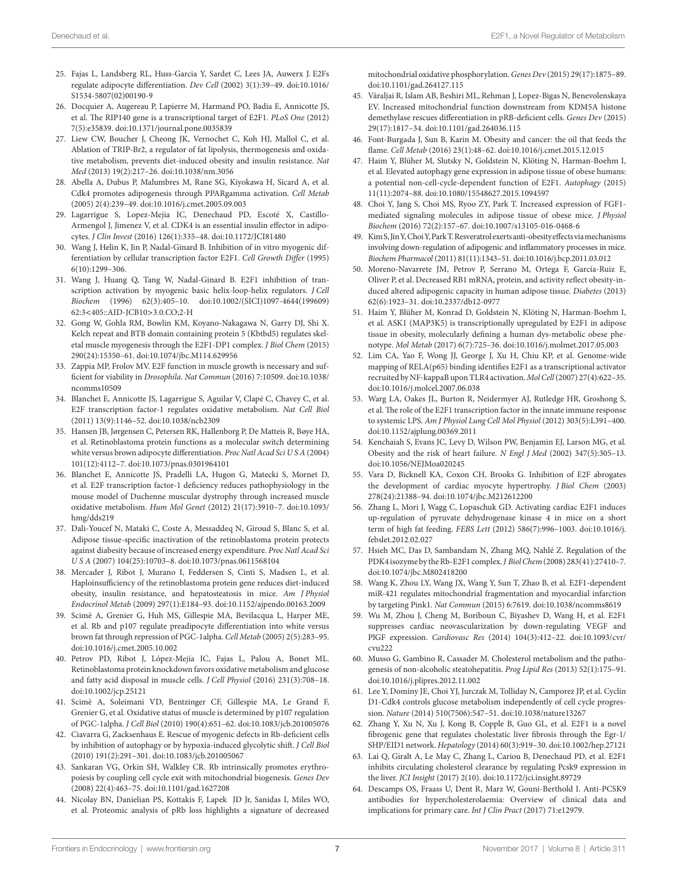- <span id="page-6-0"></span>25. Fajas L, Landsberg RL, Huss-Garcia Y, Sardet C, Lees JA, Auwerx J. E2Fs regulate adipocyte differentiation. *Dev Cell* (2002) 3(1):39–49. doi[:10.1016/](https://doi.org/10.1016/S1534-5807(02)00190-9) [S1534-5807\(02\)00190-9](https://doi.org/10.1016/S1534-5807(02)00190-9)
- <span id="page-6-1"></span>26. Docquier A, Augereau P, Lapierre M, Harmand PO, Badia E, Annicotte JS, et al. The RIP140 gene is a transcriptional target of E2F1. *PLoS One* (2012) 7(5):e35839. doi:[10.1371/journal.pone.0035839](https://doi.org/10.1371/journal.pone.0035839)
- <span id="page-6-2"></span>27. Liew CW, Boucher J, Cheong JK, Vernochet C, Koh HJ, Mallol C, et al. Ablation of TRIP-Br2, a regulator of fat lipolysis, thermogenesis and oxidative metabolism, prevents diet-induced obesity and insulin resistance. *Nat Med* (2013) 19(2):217–26. doi[:10.1038/nm.3056](https://doi.org/10.1038/nm.3056)
- <span id="page-6-3"></span>28. Abella A, Dubus P, Malumbres M, Rane SG, Kiyokawa H, Sicard A, et al. Cdk4 promotes adipogenesis through PPARgamma activation. *Cell Metab* (2005) 2(4):239–49. doi:[10.1016/j.cmet.2005.09.003](https://doi.org/10.1016/j.cmet.2005.09.003)
- <span id="page-6-4"></span>29. Lagarrigue S, Lopez-Mejia IC, Denechaud PD, Escoté X, Castillo-Armengol J, Jimenez V, et al. CDK4 is an essential insulin effector in adipocytes. *J Clin Invest* (2016) 126(1):335–48. doi[:10.1172/JCI81480](https://doi.org/10.1172/JCI81480)
- <span id="page-6-5"></span>30. Wang J, Helin K, Jin P, Nadal-Ginard B. Inhibition of in vitro myogenic differentiation by cellular transcription factor E2F1. *Cell Growth Differ* (1995) 6(10):1299–306.
- <span id="page-6-6"></span>31. Wang J, Huang Q, Tang W, Nadal-Ginard B. E2F1 inhibition of transcription activation by myogenic basic helix-loop-helix regulators. *J Cell Biochem* (1996) 62(3):405–10. doi[:10.1002/\(SICI\)1097-4644\(199609\)](https://doi.org/10.1002/(SICI)1097-4644(199609)
62:3 < 405::AID-JCB10 > 3.0.CO;2-H) 62:3<[405::AID-JCB10](https://doi.org/10.1002/(SICI)1097-4644(199609)
62:3 < 405::AID-JCB10 > 3.0.CO;2-H)>3.0.CO;2-H
- <span id="page-6-7"></span>32. Gong W, Gohla RM, Bowlin KM, Koyano-Nakagawa N, Garry DJ, Shi X. Kelch repeat and BTB domain containing protein 5 (Kbtbd5) regulates skeletal muscle myogenesis through the E2F1-DP1 complex. *J Biol Chem* (2015) 290(24):15350–61. doi[:10.1074/jbc.M114.629956](https://doi.org/10.1074/jbc.M114.629956)
- <span id="page-6-8"></span>33. Zappia MP, Frolov MV. E2F function in muscle growth is necessary and sufficient for viability in *Drosophila*. *Nat Commun* (2016) 7:10509. doi[:10.1038/](https://doi.org/10.1038/ncomms10509) [ncomms10509](https://doi.org/10.1038/ncomms10509)
- <span id="page-6-9"></span>34. Blanchet E, Annicotte JS, Lagarrigue S, Aguilar V, Clapé C, Chavey C, et al. E2F transcription factor-1 regulates oxidative metabolism. *Nat Cell Biol* (2011) 13(9):1146–52. doi:[10.1038/ncb2309](https://doi.org/10.1038/ncb2309)
- <span id="page-6-10"></span>35. Hansen JB, Jørgensen C, Petersen RK, Hallenborg P, De Matteis R, Bøye HA, et al. Retinoblastoma protein functions as a molecular switch determining white versus brown adipocyte differentiation. *Proc Natl Acad Sci U S A* (2004) 101(12):4112–7. doi[:10.1073/pnas.0301964101](https://doi.org/10.1073/pnas.0301964101)
- <span id="page-6-11"></span>36. Blanchet E, Annicotte JS, Pradelli LA, Hugon G, Matecki S, Mornet D, et al. E2F transcription factor-1 deficiency reduces pathophysiology in the mouse model of Duchenne muscular dystrophy through increased muscle oxidative metabolism. *Hum Mol Genet* (2012) 21(17):3910–7. doi[:10.1093/](https://doi.org/10.1093/hmg/dds219) [hmg/dds219](https://doi.org/10.1093/hmg/dds219)
- <span id="page-6-12"></span>37. Dali-Youcef N, Mataki C, Coste A, Messaddeq N, Giroud S, Blanc S, et al. Adipose tissue-specific inactivation of the retinoblastoma protein protects against diabesity because of increased energy expenditure. *Proc Natl Acad Sci U S A* (2007) 104(25):10703–8. doi[:10.1073/pnas.0611568104](https://doi.org/10.1073/pnas.0611568104)
- <span id="page-6-13"></span>38. Mercader J, Ribot J, Murano I, Feddersen S, Cinti S, Madsen L, et al. Haploinsufficiency of the retinoblastoma protein gene reduces diet-induced obesity, insulin resistance, and hepatosteatosis in mice. *Am J Physiol Endocrinol Metab* (2009) 297(1):E184–93. doi[:10.1152/ajpendo.00163.2009](https://doi.org/10.1152/ajpendo.00163.2009)
- <span id="page-6-14"></span>39. Scimè A, Grenier G, Huh MS, Gillespie MA, Bevilacqua L, Harper ME, et al. Rb and p107 regulate preadipocyte differentiation into white versus brown fat through repression of PGC-1alpha. *Cell Metab* (2005) 2(5):283–95. doi:[10.1016/j.cmet.2005.10.002](https://doi.org/10.1016/j.cmet.2005.10.002)
- <span id="page-6-15"></span>40. Petrov PD, Ribot J, López-Mejía IC, Fajas L, Palou A, Bonet ML. Retinoblastoma protein knockdown favors oxidative metabolism and glucose and fatty acid disposal in muscle cells. *J Cell Physiol* (2016) 231(3):708–18. doi:[10.1002/jcp.25121](https://doi.org/10.1002/jcp.25121)
- <span id="page-6-16"></span>41. Scimè A, Soleimani VD, Bentzinger CF, Gillespie MA, Le Grand F, Grenier G, et al. Oxidative status of muscle is determined by p107 regulation of PGC-1alpha. *J Cell Biol* (2010) 190(4):651–62. doi:[10.1083/jcb.201005076](https://doi.org/10.1083/jcb.201005076)
- <span id="page-6-17"></span>42. Ciavarra G, Zacksenhaus E. Rescue of myogenic defects in Rb-deficient cells by inhibition of autophagy or by hypoxia-induced glycolytic shift. *J Cell Biol* (2010) 191(2):291–301. doi[:10.1083/jcb.201005067](https://doi.org/10.1083/jcb.201005067)
- <span id="page-6-18"></span>43. Sankaran VG, Orkin SH, Walkley CR. Rb intrinsically promotes erythropoiesis by coupling cell cycle exit with mitochondrial biogenesis. *Genes Dev* (2008) 22(4):463–75. doi[:10.1101/gad.1627208](https://doi.org/10.1101/gad.1627208)
- <span id="page-6-19"></span>44. Nicolay BN, Danielian PS, Kottakis F, Lapek JD Jr, Sanidas I, Miles WO, et al. Proteomic analysis of pRb loss highlights a signature of decreased

<span id="page-6-20"></span>mitochondrial oxidative phosphorylation. *Genes Dev* (2015) 29(17):1875–89. doi:[10.1101/gad.264127.115](https://doi.org/10.1101/gad.264127.115)

- 45. Váraljai R, Islam AB, Beshiri ML, Rehman J, Lopez-Bigas N, Benevolenskaya EV. Increased mitochondrial function downstream from KDM5A histone demethylase rescues differentiation in pRB-deficient cells. *Genes Dev* (2015) 29(17):1817–34. doi:[10.1101/gad.264036.115](https://doi.org/10.1101/gad.264036.115)
- <span id="page-6-21"></span>46. Font-Burgada J, Sun B, Karin M. Obesity and cancer: the oil that feeds the flame. *Cell Metab* (2016) 23(1):48–62. doi:[10.1016/j.cmet.2015.12.015](https://doi.org/10.1016/j.cmet.2015.12.015)
- <span id="page-6-22"></span>47. Haim Y, Blüher M, Slutsky N, Goldstein N, Klöting N, Harman-Boehm I, et al. Elevated autophagy gene expression in adipose tissue of obese humans: a potential non-cell-cycle-dependent function of E2F1. *Autophagy* (2015) 11(11):2074–88. doi:[10.1080/15548627.2015.1094597](https://doi.org/10.1080/15548627.2015.1094597)
- <span id="page-6-23"></span>48. Choi Y, Jang S, Choi MS, Ryoo ZY, Park T. Increased expression of FGF1 mediated signaling molecules in adipose tissue of obese mice. *J Physiol Biochem* (2016) 72(2):157–67. doi:[10.1007/s13105-016-0468-6](https://doi.org/10.1007/s13105-016-0468-6)
- <span id="page-6-24"></span>49. Kim S, Jin Y, Choi Y, Park T. Resveratrol exerts anti-obesity effects via mechanisms involving down-regulation of adipogenic and inflammatory processes in mice. *Biochem Pharmacol* (2011) 81(11):1343–51. doi:[10.1016/j.bcp.2011.03.012](https://doi.org/10.1016/j.bcp.2011.03.012)
- <span id="page-6-25"></span>50. Moreno-Navarrete JM, Petrov P, Serrano M, Ortega F, García-Ruiz E, Oliver P, et al. Decreased RB1 mRNA, protein, and activity reflect obesity-induced altered adipogenic capacity in human adipose tissue. *Diabetes* (2013) 62(6):1923–31. doi[:10.2337/db12-0977](https://doi.org/10.2337/db12-0977)
- <span id="page-6-26"></span>51. Haim Y, Blüher M, Konrad D, Goldstein N, Klöting N, Harman-Boehm I, et al. ASK1 (MAP3K5) is transcriptionally upregulated by E2F1 in adipose tissue in obesity, molecularly defining a human dys-metabolic obese phenotype. *Mol Metab* (2017) 6(7):725–36. doi[:10.1016/j.molmet.2017.05.003](https://doi.org/10.1016/j.molmet.2017.05.003)
- <span id="page-6-27"></span>52. Lim CA, Yao F, Wong JJ, George J, Xu H, Chiu KP, et al. Genome-wide mapping of RELA(p65) binding identifies E2F1 as a transcriptional activator recruited by NF-kappaB upon TLR4 activation. *Mol Cell* (2007) 27(4):622–35. doi:[10.1016/j.molcel.2007.06.038](https://doi.org/10.1016/j.molcel.2007.06.038)
- <span id="page-6-28"></span>53. Warg LA, Oakes JL, Burton R, Neidermyer AJ, Rutledge HR, Groshong S, et al. The role of the E2F1 transcription factor in the innate immune response to systemic LPS. *Am J Physiol Lung Cell Mol Physiol* (2012) 303(5):L391–400. doi:[10.1152/ajplung.00369.2011](https://doi.org/10.1152/ajplung.00369.2011)
- <span id="page-6-29"></span>54. Kenchaiah S, Evans JC, Levy D, Wilson PW, Benjamin EJ, Larson MG, et al. Obesity and the risk of heart failure. *N Engl J Med* (2002) 347(5):305–13. doi:[10.1056/NEJMoa020245](https://doi.org/10.1056/NEJMoa020245)
- <span id="page-6-30"></span>55. Vara D, Bicknell KA, Coxon CH, Brooks G. Inhibition of E2F abrogates the development of cardiac myocyte hypertrophy. *J Biol Chem* (2003) 278(24):21388–94. doi[:10.1074/jbc.M212612200](https://doi.org/10.1074/jbc.M212612200)
- <span id="page-6-31"></span>56. Zhang L, Mori J, Wagg C, Lopaschuk GD. Activating cardiac E2F1 induces up-regulation of pyruvate dehydrogenase kinase 4 in mice on a short term of high fat feeding. *FEBS Lett* (2012) 586(7):996–1003. doi:[10.1016/j.](https://doi.org/10.1016/j.febslet.2012.02.027) [febslet.2012.02.027](https://doi.org/10.1016/j.febslet.2012.02.027)
- <span id="page-6-32"></span>57. Hsieh MC, Das D, Sambandam N, Zhang MQ, Nahlé Z. Regulation of the PDK4 isozyme by the Rb-E2F1 complex. *J Biol Chem* (2008) 283(41):27410–7. doi:[10.1074/jbc.M802418200](https://doi.org/10.1074/jbc.M802418200)
- <span id="page-6-33"></span>58. Wang K, Zhou LY, Wang JX, Wang Y, Sun T, Zhao B, et al. E2F1-dependent miR-421 regulates mitochondrial fragmentation and myocardial infarction by targeting Pink1. *Nat Commun* (2015) 6:7619. doi:[10.1038/ncomms8619](https://doi.org/10.1038/ncomms8619)
- <span id="page-6-34"></span>59. Wu M, Zhou J, Cheng M, Boriboun C, Biyashev D, Wang H, et al. E2F1 suppresses cardiac neovascularization by down-regulating VEGF and PlGF expression. *Cardiovasc Res* (2014) 104(3):412–22. doi[:10.1093/cvr/](https://doi.org/10.1093/cvr/cvu222) [cvu222](https://doi.org/10.1093/cvr/cvu222)
- <span id="page-6-35"></span>60. Musso G, Gambino R, Cassader M. Cholesterol metabolism and the pathogenesis of non-alcoholic steatohepatitis. *Prog Lipid Res* (2013) 52(1):175–91. doi:[10.1016/j.plipres.2012.11.002](https://doi.org/10.1016/j.plipres.2012.11.002)
- <span id="page-6-36"></span>61. Lee Y, Dominy JE, Choi YJ, Jurczak M, Tolliday N, Camporez JP, et al. Cyclin D1-Cdk4 controls glucose metabolism independently of cell cycle progression. *Nature* (2014) 510(7506):547–51. doi[:10.1038/nature13267](https://doi.org/10.1038/nature13267)
- <span id="page-6-37"></span>62. Zhang Y, Xu N, Xu J, Kong B, Copple B, Guo GL, et al. E2F1 is a novel fibrogenic gene that regulates cholestatic liver fibrosis through the Egr-1/ SHP/EID1 network. *Hepatology* (2014) 60(3):919–30. doi:[10.1002/hep.27121](https://doi.org/10.1002/hep.27121)
- <span id="page-6-38"></span>63. Lai Q, Giralt A, Le May C, Zhang L, Cariou B, Denechaud PD, et al. E2F1 inhibits circulating cholesterol clearance by regulating Pcsk9 expression in the liver. *JCI Insight* (2017) 2(10). doi:[10.1172/jci.insight.89729](https://doi.org/10.1172/jci.insight.89729)
- <span id="page-6-39"></span>64. Descamps OS, Fraass U, Dent R, Marz W, Gouni-Berthold I. Anti-PCSK9 antibodies for hypercholesterolaemia: Overview of clinical data and implications for primary care. *Int J Clin Pract* (2017) 71:e12979.